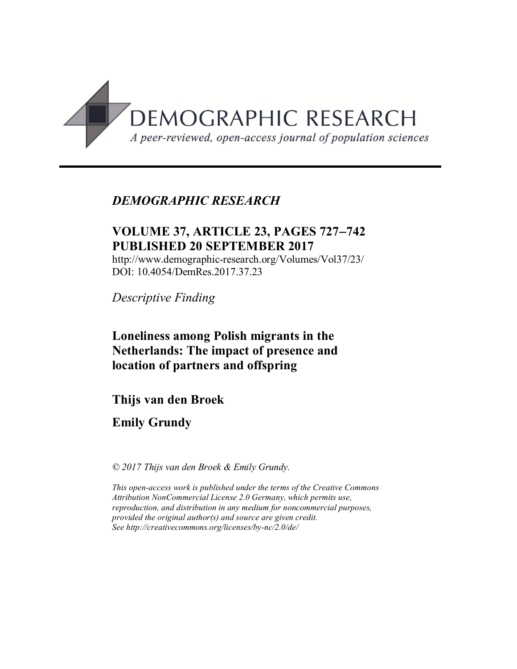

## *DEMOGRAPHIC RESEARCH*

## **VOLUME 37, ARTICLE 23, PAGES 727-742 PUBLISHED 20 SEPTEMBER 2017**

http://www.demographic-research.org/Volumes/Vol37/23/ DOI: 10.4054/DemRes.2017.37.23

*Descriptive Finding*

## **Loneliness among Polish migrants in the Netherlands: The impact of presence and location of partners and offspring**

**Thijs van den Broek**

## **Emily Grundy**

*© 2017 Thijs van den Broek & Emily Grundy.*

*This open-access work is published under the terms of the Creative Commons Attribution NonCommercial License 2.0 Germany, which permits use, reproduction, and distribution in any medium for noncommercial purposes, provided the original author(s) and source are given credit. See <http://creativecommons.org/licenses/by-nc/2.0/de/>*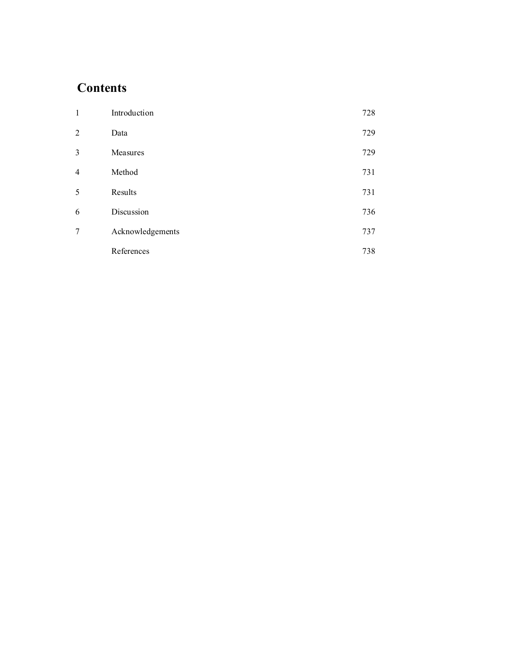# **Contents**

| $\mathbf{1}$   | Introduction     | 728 |
|----------------|------------------|-----|
| $\overline{2}$ | Data             | 729 |
| 3              | Measures         | 729 |
| $\overline{4}$ | Method           | 731 |
| 5              | Results          | 731 |
| 6              | Discussion       | 736 |
| 7              | Acknowledgements | 737 |
|                | References       | 738 |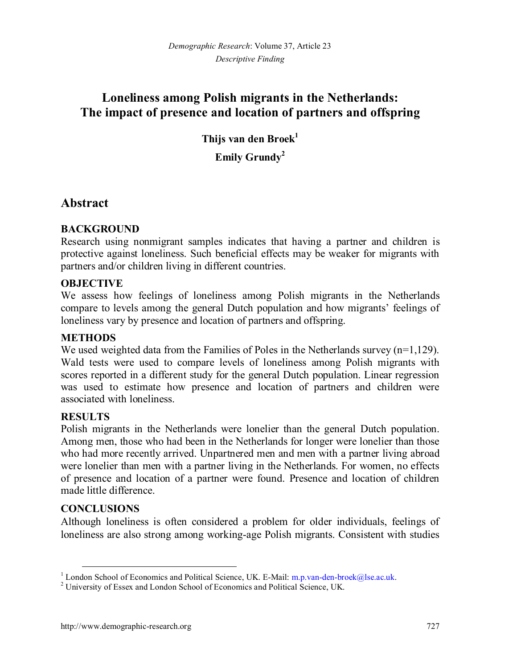## **Loneliness among Polish migrants in the Netherlands: The impact of presence and location of partners and offspring**

**Thijs van den Broek[1](#page-2-0) Emily Grundy[2](#page-2-1)**

## **Abstract**

#### **BACKGROUND**

Research using nonmigrant samples indicates that having a partner and children is protective against loneliness. Such beneficial effects may be weaker for migrants with partners and/or children living in different countries.

#### **OBJECTIVE**

We assess how feelings of loneliness among Polish migrants in the Netherlands compare to levels among the general Dutch population and how migrants' feelings of loneliness vary by presence and location of partners and offspring.

#### **METHODS**

We used weighted data from the Families of Poles in the Netherlands survey  $(n=1.129)$ . Wald tests were used to compare levels of loneliness among Polish migrants with scores reported in a different study for the general Dutch population. Linear regression was used to estimate how presence and location of partners and children were associated with loneliness.

#### **RESULTS**

Polish migrants in the Netherlands were lonelier than the general Dutch population. Among men, those who had been in the Netherlands for longer were lonelier than those who had more recently arrived. Unpartnered men and men with a partner living abroad were lonelier than men with a partner living in the Netherlands. For women, no effects of presence and location of a partner were found. Presence and location of children made little difference.

#### **CONCLUSIONS**

Although loneliness is often considered a problem for older individuals, feelings of loneliness are also strong among working-age Polish migrants. Consistent with studies

<span id="page-2-0"></span><sup>&</sup>lt;sup>1</sup> London School of Economics and Political Science, UK. E-Mail: m.p.[van-den-broek@lse.ac.uk.](mailto:m.p.van-den-broek@lse.ac.uk)

<span id="page-2-1"></span><sup>&</sup>lt;sup>2</sup> University of Essex and London School of Economics and Political Science, UK.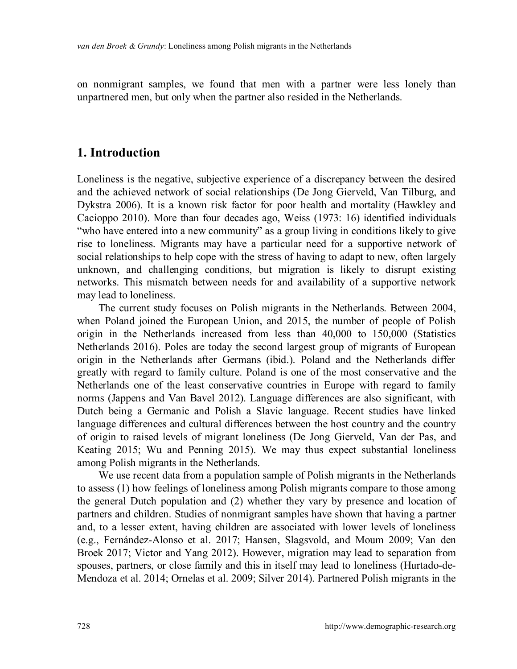on nonmigrant samples, we found that men with a partner were less lonely than unpartnered men, but only when the partner also resided in the Netherlands.

#### **1. Introduction**

Loneliness is the negative, subjective experience of a discrepancy between the desired and the achieved network of social relationships (De Jong Gierveld, Van Tilburg, and Dykstra 2006). It is a known risk factor for poor health and mortality (Hawkley and Cacioppo 2010). More than four decades ago, Weiss (1973: 16) identified individuals "who have entered into a new community" as a group living in conditions likely to give rise to loneliness. Migrants may have a particular need for a supportive network of social relationships to help cope with the stress of having to adapt to new, often largely unknown, and challenging conditions, but migration is likely to disrupt existing networks. This mismatch between needs for and availability of a supportive network may lead to loneliness.

The current study focuses on Polish migrants in the Netherlands. Between 2004, when Poland joined the European Union, and 2015, the number of people of Polish origin in the Netherlands increased from less than 40,000 to 150,000 (Statistics Netherlands 2016). Poles are today the second largest group of migrants of European origin in the Netherlands after Germans (ibid.). Poland and the Netherlands differ greatly with regard to family culture. Poland is one of the most conservative and the Netherlands one of the least conservative countries in Europe with regard to family norms (Jappens and Van Bavel 2012). Language differences are also significant, with Dutch being a Germanic and Polish a Slavic language. Recent studies have linked language differences and cultural differences between the host country and the country of origin to raised levels of migrant loneliness (De Jong Gierveld, Van der Pas, and Keating 2015; Wu and Penning 2015). We may thus expect substantial loneliness among Polish migrants in the Netherlands.

We use recent data from a population sample of Polish migrants in the Netherlands to assess (1) how feelings of loneliness among Polish migrants compare to those among the general Dutch population and (2) whether they vary by presence and location of partners and children. Studies of nonmigrant samples have shown that having a partner and, to a lesser extent, having children are associated with lower levels of loneliness (e.g., Fernández-Alonso et al. 2017; Hansen, Slagsvold, and Moum 2009; Van den Broek 2017; Victor and Yang 2012). However, migration may lead to separation from spouses, partners, or close family and this in itself may lead to loneliness (Hurtado-de-Mendoza et al. 2014; Ornelas et al. 2009; Silver 2014). Partnered Polish migrants in the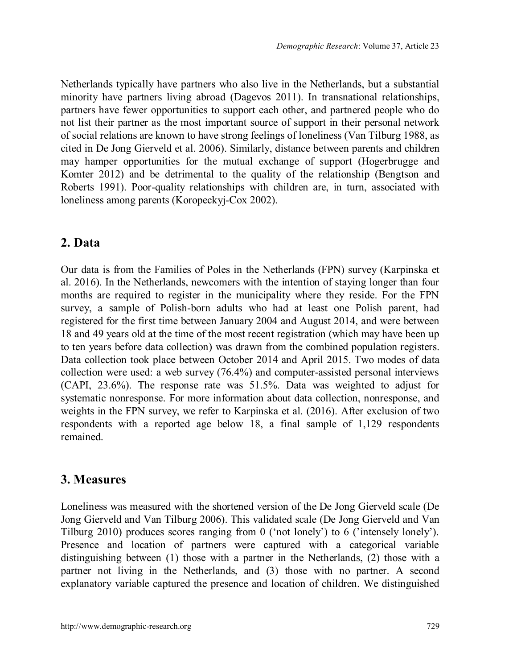Netherlands typically have partners who also live in the Netherlands, but a substantial minority have partners living abroad (Dagevos 2011). In transnational relationships, partners have fewer opportunities to support each other, and partnered people who do not list their partner as the most important source of support in their personal network of social relations are known to have strong feelings of loneliness (Van Tilburg 1988, as cited in De Jong Gierveld et al. 2006). Similarly, distance between parents and children may hamper opportunities for the mutual exchange of support (Hogerbrugge and Komter 2012) and be detrimental to the quality of the relationship (Bengtson and Roberts 1991). Poor-quality relationships with children are, in turn, associated with loneliness among parents (Koropeckyj-Cox 2002).

### **2. Data**

Our data is from the Families of Poles in the Netherlands (FPN) survey (Karpinska et al. 2016). In the Netherlands, newcomers with the intention of staying longer than four months are required to register in the municipality where they reside. For the FPN survey, a sample of Polish-born adults who had at least one Polish parent, had registered for the first time between January 2004 and August 2014, and were between 18 and 49 years old at the time of the most recent registration (which may have been up to ten years before data collection) was drawn from the combined population registers. Data collection took place between October 2014 and April 2015. Two modes of data collection were used: a web survey (76.4%) and computer-assisted personal interviews (CAPI, 23.6%). The response rate was 51.5%. Data was weighted to adjust for systematic nonresponse. For more information about data collection, nonresponse, and weights in the FPN survey, we refer to Karpinska et al. (2016). After exclusion of two respondents with a reported age below 18, a final sample of 1,129 respondents remained.

### **3. Measures**

Loneliness was measured with the shortened version of the De Jong Gierveld scale (De Jong Gierveld and Van Tilburg 2006). This validated scale (De Jong Gierveld and Van Tilburg 2010) produces scores ranging from 0 ('not lonely') to 6 ('intensely lonely'). Presence and location of partners were captured with a categorical variable distinguishing between (1) those with a partner in the Netherlands, (2) those with a partner not living in the Netherlands, and (3) those with no partner. A second explanatory variable captured the presence and location of children. We distinguished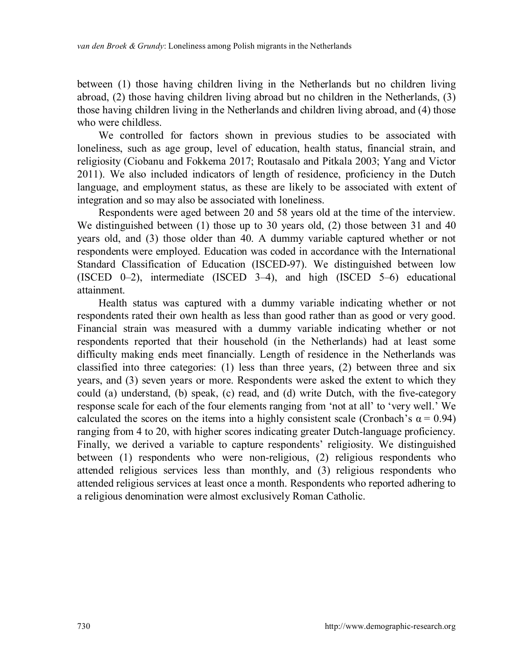between (1) those having children living in the Netherlands but no children living abroad, (2) those having children living abroad but no children in the Netherlands, (3) those having children living in the Netherlands and children living abroad, and (4) those who were childless.

We controlled for factors shown in previous studies to be associated with loneliness, such as age group, level of education, health status, financial strain, and religiosity (Ciobanu and Fokkema 2017; Routasalo and Pitkala 2003; Yang and Victor 2011). We also included indicators of length of residence, proficiency in the Dutch language, and employment status, as these are likely to be associated with extent of integration and so may also be associated with loneliness.

Respondents were aged between 20 and 58 years old at the time of the interview. We distinguished between  $(1)$  those up to 30 years old,  $(2)$  those between 31 and 40 years old, and (3) those older than 40. A dummy variable captured whether or not respondents were employed. Education was coded in accordance with the International Standard Classification of Education (ISCED-97). We distinguished between low (ISCED  $0-2$ ), intermediate (ISCED  $3-4$ ), and high (ISCED  $5-6$ ) educational attainment.

Health status was captured with a dummy variable indicating whether or not respondents rated their own health as less than good rather than as good or very good. Financial strain was measured with a dummy variable indicating whether or not respondents reported that their household (in the Netherlands) had at least some difficulty making ends meet financially. Length of residence in the Netherlands was classified into three categories: (1) less than three years, (2) between three and six years, and (3) seven years or more. Respondents were asked the extent to which they could (a) understand, (b) speak, (c) read, and (d) write Dutch, with the five-category response scale for each of the four elements ranging from 'not at all' to 'very well.' We calculated the scores on the items into a highly consistent scale (Cronbach's  $\alpha = 0.94$ ) ranging from 4 to 20, with higher scores indicating greater Dutch-language proficiency. Finally, we derived a variable to capture respondents' religiosity. We distinguished between (1) respondents who were non-religious, (2) religious respondents who attended religious services less than monthly, and (3) religious respondents who attended religious services at least once a month. Respondents who reported adhering to a religious denomination were almost exclusively Roman Catholic.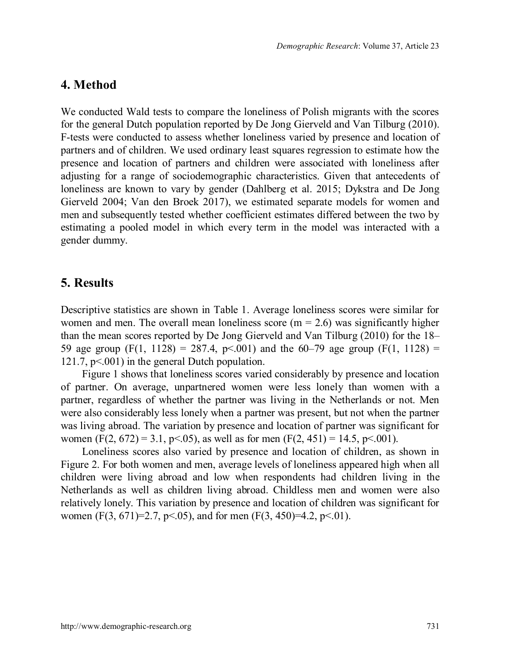#### **4. Method**

We conducted Wald tests to compare the loneliness of Polish migrants with the scores for the general Dutch population reported by De Jong Gierveld and Van Tilburg (2010). F-tests were conducted to assess whether loneliness varied by presence and location of partners and of children. We used ordinary least squares regression to estimate how the presence and location of partners and children were associated with loneliness after adjusting for a range of sociodemographic characteristics. Given that antecedents of loneliness are known to vary by gender (Dahlberg et al. 2015; Dykstra and De Jong Gierveld 2004; Van den Broek 2017), we estimated separate models for women and men and subsequently tested whether coefficient estimates differed between the two by estimating a pooled model in which every term in the model was interacted with a gender dummy.

### **5. Results**

Descriptive statistics are shown in Table 1. Average loneliness scores were similar for women and men. The overall mean loneliness score  $(m = 2.6)$  was significantly higher than the mean scores reported by De Jong Gierveld and Van Tilburg (2010) for the 18– 59 age group (F(1, 1128) = 287.4, p<.001) and the 60–79 age group (F(1, 1128) = 121.7, p<.001) in the general Dutch population.

Figure 1 shows that loneliness scores varied considerably by presence and location of partner. On average, unpartnered women were less lonely than women with a partner, regardless of whether the partner was living in the Netherlands or not. Men were also considerably less lonely when a partner was present, but not when the partner was living abroad. The variation by presence and location of partner was significant for women (F(2, 672) = 3.1, p < 0.05), as well as for men (F(2, 451) = 14.5, p < 0.001).

Loneliness scores also varied by presence and location of children, as shown in Figure 2. For both women and men, average levels of loneliness appeared high when all children were living abroad and low when respondents had children living in the Netherlands as well as children living abroad. Childless men and women were also relatively lonely. This variation by presence and location of children was significant for women  $(F(3, 671)=2.7, p<0.65)$ , and for men  $(F(3, 450)=4.2, p<0.61)$ .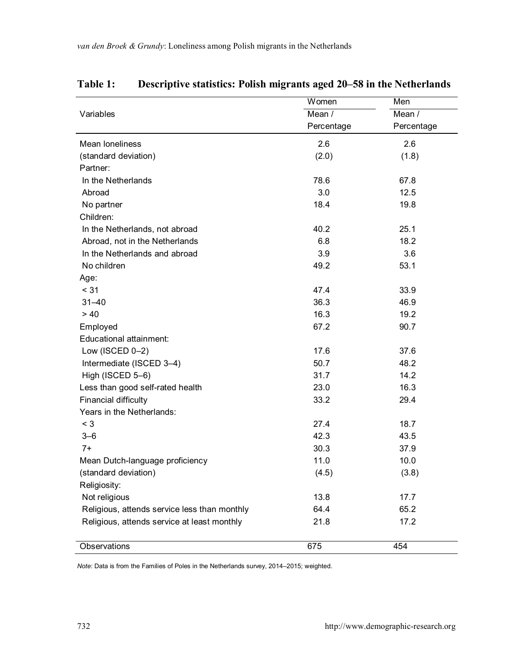|                                              | Women                      | Men        |  |
|----------------------------------------------|----------------------------|------------|--|
| Variables                                    | $\overline{\text{Mean}}$ / | Mean /     |  |
|                                              | Percentage                 | Percentage |  |
| Mean loneliness                              | 2.6                        | 2.6        |  |
| (standard deviation)                         | (2.0)                      | (1.8)      |  |
| Partner:                                     |                            |            |  |
| In the Netherlands                           | 78.6                       | 67.8       |  |
| Abroad                                       | 3.0                        | 12.5       |  |
| No partner                                   | 18.4                       | 19.8       |  |
| Children:                                    |                            |            |  |
| In the Netherlands, not abroad               | 40.2                       | 25.1       |  |
| Abroad, not in the Netherlands               | 6.8                        | 18.2       |  |
| In the Netherlands and abroad                | 3.9                        | 3.6        |  |
| No children                                  | 49.2                       | 53.1       |  |
| Age:                                         |                            |            |  |
| < 31                                         | 47.4                       | 33.9       |  |
| $31 - 40$                                    | 36.3                       | 46.9       |  |
| > 40                                         | 16.3                       | 19.2       |  |
| Employed                                     | 67.2                       | 90.7       |  |
| Educational attainment:                      |                            |            |  |
| Low (ISCED 0-2)                              | 17.6                       | 37.6       |  |
| Intermediate (ISCED 3-4)                     | 50.7                       | 48.2       |  |
| High (ISCED 5-6)                             | 31.7                       | 14.2       |  |
| Less than good self-rated health             | 23.0                       | 16.3       |  |
| Financial difficulty                         | 33.2                       | 29.4       |  |
| Years in the Netherlands:                    |                            |            |  |
| $<$ 3                                        | 27.4                       | 18.7       |  |
| $3 - 6$                                      | 42.3                       | 43.5       |  |
| $7+$                                         | 30.3                       | 37.9       |  |
| Mean Dutch-language proficiency              | 11.0                       | 10.0       |  |
| (standard deviation)                         | (4.5)                      | (3.8)      |  |
| Religiosity:                                 |                            |            |  |
| Not religious                                | 13.8                       | 17.7       |  |
| Religious, attends service less than monthly | 64.4                       | 65.2       |  |
| Religious, attends service at least monthly  | 21.8                       | 17.2       |  |
| Observations                                 | 675                        | 454        |  |

### **Table 1: Descriptive statistics: Polish migrants aged 20‒58 in the Netherlands**

*Note*: Data is from the Families of Poles in the Netherlands survey, 2014-2015; weighted.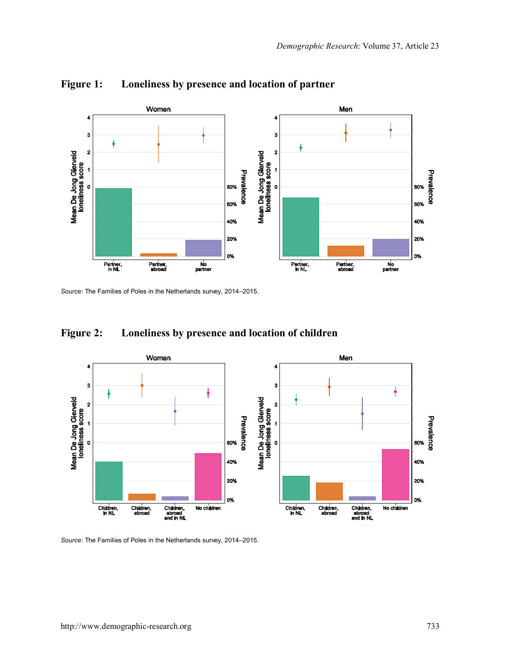

**Figure 1: Loneliness by presence and location of partner**

Source: The Families of Poles in the Netherlands survey, 2014-2015.

#### **Figure 2: Loneliness by presence and location of children**



Source: The Families of Poles in the Netherlands survey, 2014-2015.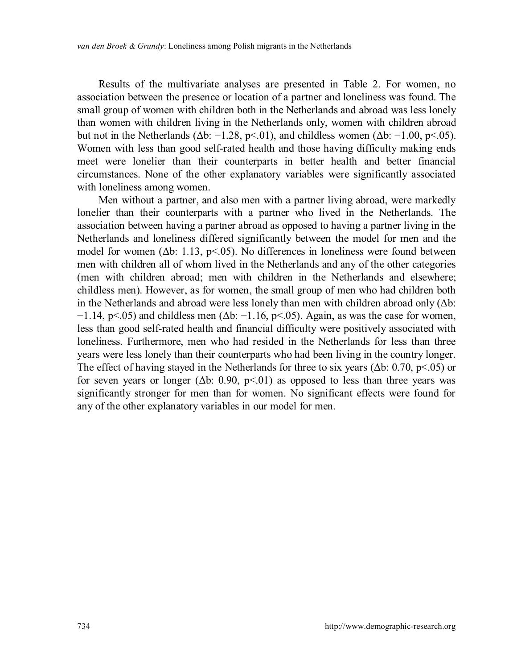Results of the multivariate analyses are presented in Table 2. For women, no association between the presence or location of a partner and loneliness was found. The small group of women with children both in the Netherlands and abroad was less lonely than women with children living in the Netherlands only, women with children abroad but not in the Netherlands ( $\Delta b$ : −1.28, p<.01), and childless women ( $\Delta b$ : −1.00, p<.05). Women with less than good self-rated health and those having difficulty making ends meet were lonelier than their counterparts in better health and better financial circumstances. None of the other explanatory variables were significantly associated with loneliness among women.

Men without a partner, and also men with a partner living abroad, were markedly lonelier than their counterparts with a partner who lived in the Netherlands. The association between having a partner abroad as opposed to having a partner living in the Netherlands and loneliness differed significantly between the model for men and the model for women ( $\Delta b$ : 1.13, p<.05). No differences in loneliness were found between men with children all of whom lived in the Netherlands and any of the other categories (men with children abroad; men with children in the Netherlands and elsewhere; childless men). However, as for women, the small group of men who had children both in the Netherlands and abroad were less lonely than men with children abroad only  $(\Delta b)$ :  $-1.14$ , p<.05) and childless men ( $\Delta b$ :  $-1.16$ , p<.05). Again, as was the case for women, less than good self-rated health and financial difficulty were positively associated with loneliness. Furthermore, men who had resided in the Netherlands for less than three years were less lonely than their counterparts who had been living in the country longer. The effect of having stayed in the Netherlands for three to six years ( $\Delta b$ : 0.70, p<.05) or for seven years or longer ( $\Delta b$ : 0.90, p<01) as opposed to less than three years was significantly stronger for men than for women. No significant effects were found for any of the other explanatory variables in our model for men.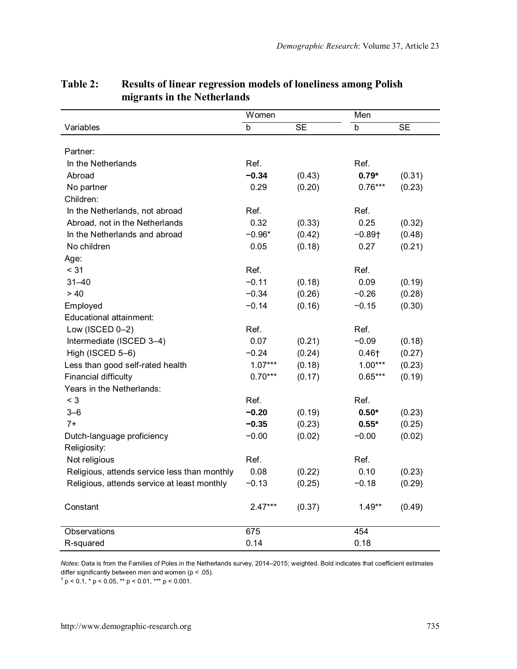|                                              | Women     |           | Men                  |           |  |
|----------------------------------------------|-----------|-----------|----------------------|-----------|--|
| Variables                                    | b         | <b>SE</b> | b                    | <b>SE</b> |  |
|                                              |           |           |                      |           |  |
| Partner:<br>In the Netherlands               | Ref.      |           |                      |           |  |
|                                              |           |           | Ref.                 |           |  |
| Abroad                                       | $-0.34$   | (0.43)    | $0.79*$              | (0.31)    |  |
| No partner                                   | 0.29      | (0.20)    | $0.76***$            | (0.23)    |  |
| Children:                                    |           |           |                      |           |  |
| In the Netherlands, not abroad               | Ref.      |           | Ref.                 |           |  |
| Abroad, not in the Netherlands               | 0.32      | (0.33)    | 0.25                 | (0.32)    |  |
| In the Netherlands and abroad                | $-0.96*$  | (0.42)    | $-0.89$ <sup>+</sup> | (0.48)    |  |
| No children                                  | 0.05      | (0.18)    | 0.27                 | (0.21)    |  |
| Age:                                         |           |           |                      |           |  |
| < 31                                         | Ref.      |           | Ref.                 |           |  |
| $31 - 40$                                    | $-0.11$   | (0.18)    | 0.09                 | (0.19)    |  |
| > 40                                         | $-0.34$   | (0.26)    | $-0.26$              | (0.28)    |  |
| Employed                                     | $-0.14$   | (0.16)    | $-0.15$              | (0.30)    |  |
| Educational attainment:                      |           |           |                      |           |  |
| Low (ISCED 0-2)                              | Ref.      |           | Ref.                 |           |  |
| Intermediate (ISCED 3-4)                     | 0.07      | (0.21)    | $-0.09$              | (0.18)    |  |
| High (ISCED 5-6)                             | $-0.24$   | (0.24)    | $0.46\dagger$        | (0.27)    |  |
| Less than good self-rated health             | $1.07***$ | (0.18)    | $1.00***$            | (0.23)    |  |
| Financial difficulty                         | $0.70***$ | (0.17)    | $0.65***$            | (0.19)    |  |
| Years in the Netherlands:                    |           |           |                      |           |  |
| $<$ 3                                        | Ref.      |           | Ref.                 |           |  |
| $3 - 6$                                      | $-0.20$   | (0.19)    | $0.50*$              | (0.23)    |  |
| $7+$                                         | $-0.35$   | (0.23)    | $0.55*$              | (0.25)    |  |
| Dutch-language proficiency                   | $-0.00$   | (0.02)    | $-0.00$              | (0.02)    |  |
| Religiosity:                                 |           |           |                      |           |  |
| Not religious                                | Ref.      |           | Ref.                 |           |  |
| Religious, attends service less than monthly | 0.08      | (0.22)    | 0.10                 | (0.23)    |  |
| Religious, attends service at least monthly  | $-0.13$   | (0.25)    | $-0.18$              | (0.29)    |  |
| Constant                                     | $2.47***$ | (0.37)    | $1.49**$             | (0.49)    |  |
| Observations                                 | 675       |           | 454                  |           |  |
| R-squared                                    | 0.14      |           | 0.18                 |           |  |

#### **Table 2: Results of linear regression models of loneliness among Polish migrants in the Netherlands**

*Notes*: Data is from the Families of Poles in the Netherlands survey, 2014‒2015; weighted. Bold indicates that coefficient estimates differ significantly between men and women ( $p < .05$ ).

 $^{\dagger}$  p < 0.1, \* p < 0.05, \*\* p < 0.01, \*\*\* p < 0.001.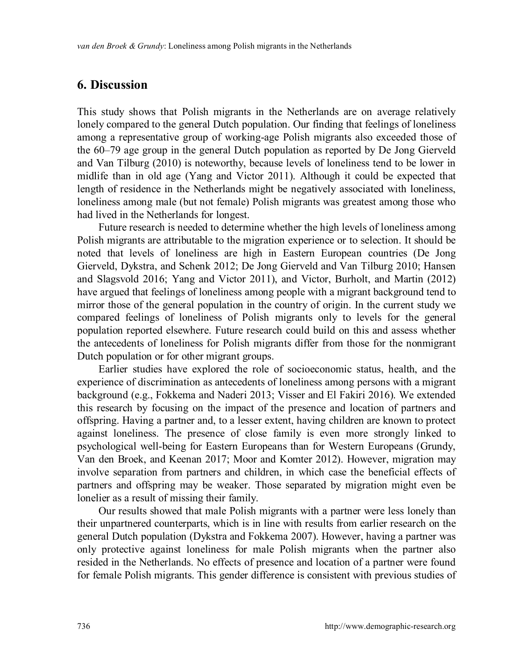### **6. Discussion**

This study shows that Polish migrants in the Netherlands are on average relatively lonely compared to the general Dutch population. Our finding that feelings of loneliness among a representative group of working-age Polish migrants also exceeded those of the 60‒79 age group in the general Dutch population as reported by De Jong Gierveld and Van Tilburg (2010) is noteworthy, because levels of loneliness tend to be lower in midlife than in old age (Yang and Victor 2011). Although it could be expected that length of residence in the Netherlands might be negatively associated with loneliness, loneliness among male (but not female) Polish migrants was greatest among those who had lived in the Netherlands for longest.

Future research is needed to determine whether the high levels of loneliness among Polish migrants are attributable to the migration experience or to selection. It should be noted that levels of loneliness are high in Eastern European countries (De Jong Gierveld, Dykstra, and Schenk 2012; De Jong Gierveld and Van Tilburg 2010; Hansen and Slagsvold 2016; Yang and Victor 2011), and Victor, Burholt, and Martin (2012) have argued that feelings of loneliness among people with a migrant background tend to mirror those of the general population in the country of origin. In the current study we compared feelings of loneliness of Polish migrants only to levels for the general population reported elsewhere. Future research could build on this and assess whether the antecedents of loneliness for Polish migrants differ from those for the nonmigrant Dutch population or for other migrant groups.

Earlier studies have explored the role of socioeconomic status, health, and the experience of discrimination as antecedents of loneliness among persons with a migrant background (e.g., Fokkema and Naderi 2013; Visser and El Fakiri 2016). We extended this research by focusing on the impact of the presence and location of partners and offspring. Having a partner and, to a lesser extent, having children are known to protect against loneliness. The presence of close family is even more strongly linked to psychological well-being for Eastern Europeans than for Western Europeans (Grundy, Van den Broek, and Keenan 2017; Moor and Komter 2012). However, migration may involve separation from partners and children, in which case the beneficial effects of partners and offspring may be weaker. Those separated by migration might even be lonelier as a result of missing their family.

Our results showed that male Polish migrants with a partner were less lonely than their unpartnered counterparts, which is in line with results from earlier research on the general Dutch population (Dykstra and Fokkema 2007). However, having a partner was only protective against loneliness for male Polish migrants when the partner also resided in the Netherlands. No effects of presence and location of a partner were found for female Polish migrants. This gender difference is consistent with previous studies of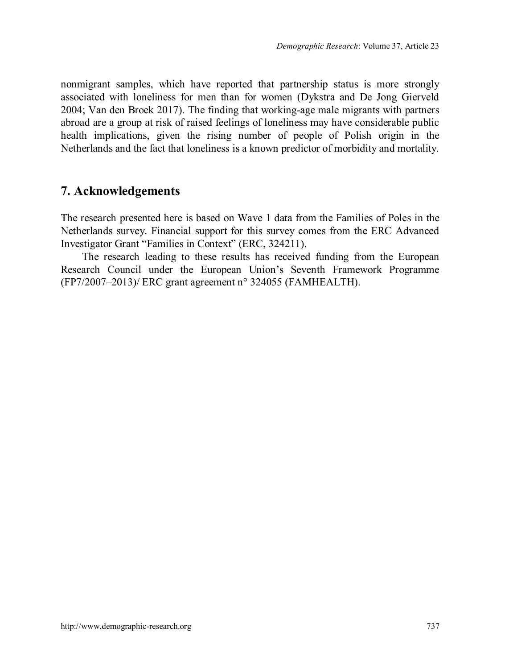nonmigrant samples, which have reported that partnership status is more strongly associated with loneliness for men than for women (Dykstra and De Jong Gierveld 2004; Van den Broek 2017). The finding that working-age male migrants with partners abroad are a group at risk of raised feelings of loneliness may have considerable public health implications, given the rising number of people of Polish origin in the Netherlands and the fact that loneliness is a known predictor of morbidity and mortality.

## **7. Acknowledgements**

The research presented here is based on Wave 1 data from the Families of Poles in the Netherlands survey. Financial support for this survey comes from the ERC Advanced Investigator Grant "Families in Context" (ERC, 324211).

The research leading to these results has received funding from the European Research Council under the European Union's Seventh Framework Programme (FP7/2007–2013)/ ERC grant agreement n° 324055 (FAMHEALTH).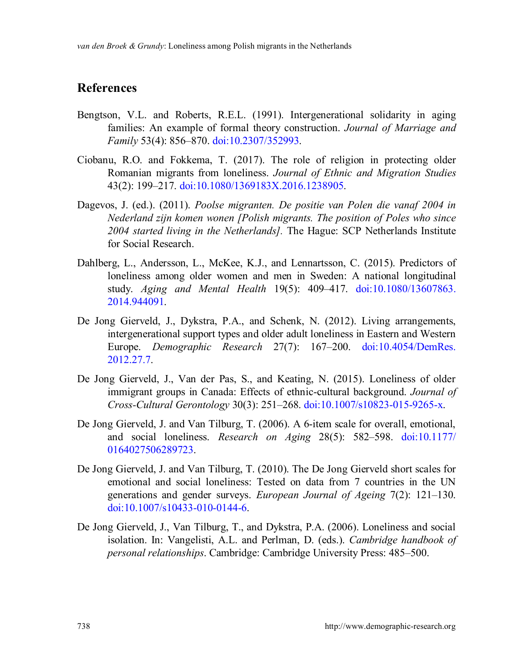#### **References**

- Bengtson, V.L. and Roberts, R.E.L. (1991). Intergenerational solidarity in aging families: An example of formal theory construction. *Journal of Marriage and Family* 53(4): 856–870. [doi:10.2307/352993.](https://doi.org/10.2307/352993)
- Ciobanu, R.O. and Fokkema, T. (2017). The role of religion in protecting older Romanian migrants from loneliness. *Journal of Ethnic and Migration Studies* 43(2): 199–217. [doi:10.1080/1369183X.2016.1238905.](https://doi.org/10.1080/1369183X.2016.1238905)
- Dagevos, J. (ed.). (2011). *Poolse migranten. De positie van Polen die vanaf 2004 in Nederland zijn komen wonen [Polish migrants. The position of Poles who since 2004 started living in the Netherlands].* The Hague: SCP Netherlands Institute for Social Research.
- Dahlberg, L., Andersson, L., McKee, K.J., and Lennartsson, C. (2015). Predictors of loneliness among older women and men in Sweden: A national longitudinal study. *Aging and Mental Health* 19(5): 409–417. [doi:10.1080/13607863.](https://doi.org/10.1080/13607863.2014.944091) [2014.944091.](https://doi.org/10.1080/13607863.2014.944091)
- De Jong Gierveld, J., Dykstra, P.A., and Schenk, N. (2012). Living arrangements, intergenerational support types and older adult loneliness in Eastern and Western Europe. *Demographic Research* 27(7): 167–200. [doi:10.4054/DemRes.](https://doi.org/10.4054/DemRes.2012.27.7) [2012.27.7.](https://doi.org/10.4054/DemRes.2012.27.7)
- De Jong Gierveld, J., Van der Pas, S., and Keating, N. (2015). Loneliness of older immigrant groups in Canada: Effects of ethnic-cultural background. *Journal of Cross-Cultural Gerontology* 30(3): 251–268. [doi:10.1007/s10823-015-9265-x.](https://doi.org/10.1007/s10823-015-9265-x)
- De Jong Gierveld, J. and Van Tilburg, T. (2006). A 6-item scale for overall, emotional, and social loneliness. *Research on Aging* 28(5): 582–598. [doi:10.1177/](https://doi.org/10.1177/0164027506289723) [0164027506289723.](https://doi.org/10.1177/0164027506289723)
- De Jong Gierveld, J. and Van Tilburg, T. (2010). The De Jong Gierveld short scales for emotional and social loneliness: Tested on data from 7 countries in the UN generations and gender surveys. *European Journal of Ageing* 7(2): 121–130. [doi:10.1007/s10433-010-0144-6.](https://doi.org/10.1007/s10433-010-0144-6)
- De Jong Gierveld, J., Van Tilburg, T., and Dykstra, P.A. (2006). Loneliness and social isolation. In: Vangelisti, A.L. and Perlman, D. (eds.). *Cambridge handbook of personal relationships*. Cambridge: Cambridge University Press: 485–500.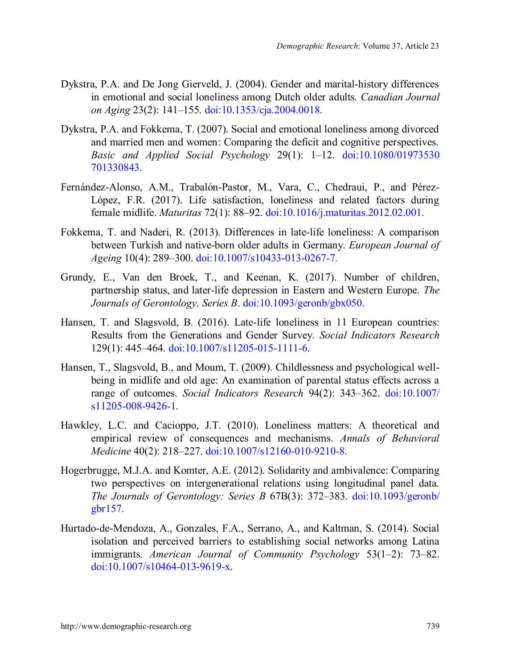- Dykstra, P.A. and De Jong Gierveld, J. (2004). Gender and marital-history differences in emotional and social loneliness among Dutch older adults. *Canadian Journal on Aging* 23(2): 141–155. [doi:10.1353/cja.2004.0018.](https://doi.org/10.1353/cja.2004.0018)
- Dykstra, P.A. and Fokkema, T. (2007). Social and emotional loneliness among divorced and married men and women: Comparing the deficit and cognitive perspectives. *Basic and Applied Social Psychology* 29(1): 1–12. [doi:10.1080/01973530](https://doi.org/10.1080/01973530701330843) [701330843.](https://doi.org/10.1080/01973530701330843)
- Fernández-Alonso, A.M., Trabalón-Pastor, M., Vara, C., Chedraui, P., and Pérez-López, F.R. (2017). Life satisfaction, loneliness and related factors during female midlife. *Maturitas* 72(1): 88–92. [doi:10.1016/j.maturitas.2012.02.001.](https://doi.org/10.1016/j.maturitas.2012.02.001)
- Fokkema, T. and Naderi, R. (2013). Differences in late-life loneliness: A comparison between Turkish and native-born older adults in Germany. *European Journal of Ageing* 10(4): 289–300. [doi:10.1007/s10433-013-0267-7.](https://doi.org/10.1007/s10433-013-0267-7)
- Grundy, E., Van den Broek, T., and Keenan, K. (2017). Number of children, partnership status, and later-life depression in Eastern and Western Europe. *The Journals of Gerontology, Series B*. [doi:10.1093/geronb/gbx050.](https://doi.org/10.1093/geronb/gbx050)
- Hansen, T. and Slagsvold, B. (2016). Late-life loneliness in 11 European countries: Results from the Generations and Gender Survey. *Social Indicators Research* 129(1): 445–464. [doi:10.1007/s11205-015-1111-6.](https://doi.org/10.1007/s11205-015-1111-6)
- Hansen, T., Slagsvold, B., and Moum, T. (2009). Childlessness and psychological wellbeing in midlife and old age: An examination of parental status effects across a range of outcomes. *Social Indicators Research* 94(2): 343–362. [doi:10.1007/](https://doi.org/10.1007/s11205-008-9426-1) [s11205-008-9426-1.](https://doi.org/10.1007/s11205-008-9426-1)
- Hawkley, L.C. and Cacioppo, J.T. (2010). Loneliness matters: A theoretical and empirical review of consequences and mechanisms. *Annals of Behavioral Medicine* 40(2): 218–227. [doi:10.1007/s12160-010-9210-8.](https://doi.org/10.1007/s12160-010-9210-8)
- Hogerbrugge, M.J.A. and Komter, A.E. (2012). Solidarity and ambivalence: Comparing two perspectives on intergenerational relations using longitudinal panel data. *The Journals of Gerontology: Series B* 67B(3): 372–383. [doi:10.1093/geronb/](https://doi.org/10.1093/geronb/gbr157) [gbr157.](https://doi.org/10.1093/geronb/gbr157)
- Hurtado-de-Mendoza, A., Gonzales, F.A., Serrano, A., and Kaltman, S. (2014). Social isolation and perceived barriers to establishing social networks among Latina immigrants. *American Journal of Community Psychology* 53(1–2): 73–82. [doi:10.1007/s10464-013-9619-x.](https://doi.org/10.1007/s10464-013-9619-x)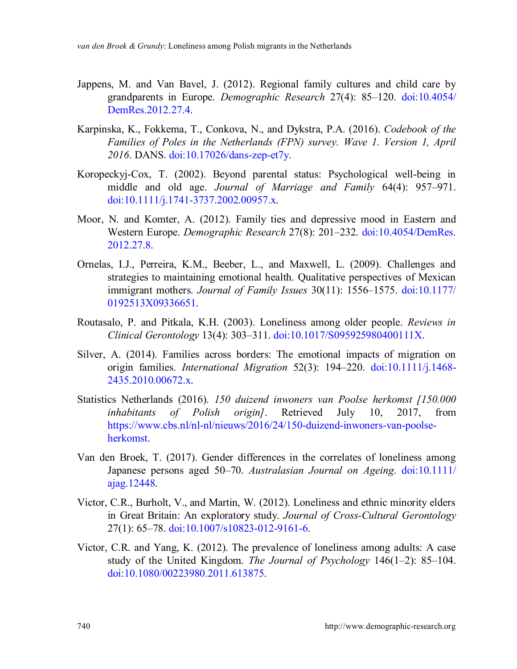- Jappens, M. and Van Bavel, J. (2012). Regional family cultures and child care by grandparents in Europe. *Demographic Research* 27(4): 85–120. [doi:10.4054/](https://doi.org/10.4054/DemRes.2012.27.4) [DemRes.2012.27.4.](https://doi.org/10.4054/DemRes.2012.27.4)
- Karpinska, K., Fokkema, T., Conkova, N., and Dykstra, P.A. (2016). *Codebook of the Families of Poles in the Netherlands (FPN) survey. Wave 1. Version 1, April 2016*. DANS. doi[:10.17026/dans-zep-et7y.](http://dx.doi.org/10.17026/dans-zep-et7y)
- Koropeckyj-Cox, T. (2002). Beyond parental status: Psychological well-being in middle and old age. *Journal of Marriage and Family* 64(4): 957–971. [doi:10.1111/j.1741-3737.2002.00957.x.](https://doi.org/10.1111/j.1741-3737.2002.00957.x)
- Moor, N. and Komter, A. (2012). Family ties and depressive mood in Eastern and Western Europe. *Demographic Research* 27(8): 201–232. [doi:10.4054/DemRes.](https://doi.org/10.4054/DemRes.2012.27.8) [2012.27.8.](https://doi.org/10.4054/DemRes.2012.27.8)
- Ornelas, I.J., Perreira, K.M., Beeber, L., and Maxwell, L. (2009). Challenges and strategies to maintaining emotional health. Qualitative perspectives of Mexican immigrant mothers. *Journal of Family Issues* 30(11): 1556–1575. [doi:10.1177/](https://doi.org/10.1177/0192513X09336651) [0192513X09336651.](https://doi.org/10.1177/0192513X09336651)
- Routasalo, P. and Pitkala, K.H. (2003). Loneliness among older people. *Reviews in Clinical Gerontology* 13(4): 303–311. [doi:10.1017/S095925980400111X.](https://doi.org/10.1017/S095925980400111X)
- Silver, A. (2014). Families across borders: The emotional impacts of migration on origin families. *International Migration* 52(3): 194–220. [doi:10.1111/j.1468-](https://doi.org/10.1111/j.1468-2435.2010.00672.x) [2435.2010.00672.x.](https://doi.org/10.1111/j.1468-2435.2010.00672.x)
- Statistics Netherlands (2016). *150 duizend inwoners van Poolse herkomst [150.000 inhabitants of Polish origin]*. Retrieved July 10, 2017, from [https://www.cbs.nl/nl-nl/nieuws/2016/24/150-duizend-inwoners-van-poolse](https://www.cbs.nl/nl-nl/nieuws/2016/24/150-duizend-inwoners-van-poolse-herkomst)[herkomst.](https://www.cbs.nl/nl-nl/nieuws/2016/24/150-duizend-inwoners-van-poolse-herkomst)
- Van den Broek, T. (2017). Gender differences in the correlates of loneliness among Japanese persons aged 50‒70. *Australasian Journal on Ageing*. [doi:10.1111/](https://doi.org/10.1111/ajag.12448) [ajag.12448.](https://doi.org/10.1111/ajag.12448)
- Victor, C.R., Burholt, V., and Martin, W. (2012). Loneliness and ethnic minority elders in Great Britain: An exploratory study. *Journal of Cross-Cultural Gerontology* 27(1): 65–78. [doi:10.1007/s10823-012-9161-6.](https://doi.org/10.1007/s10823-012-9161-6)
- Victor, C.R. and Yang, K. (2012). The prevalence of loneliness among adults: A case study of the United Kingdom. *The Journal of Psychology* 146(1–2): 85–104. [doi:10.1080/00223980.2011.613875.](https://doi.org/10.1080/00223980.2011.613875)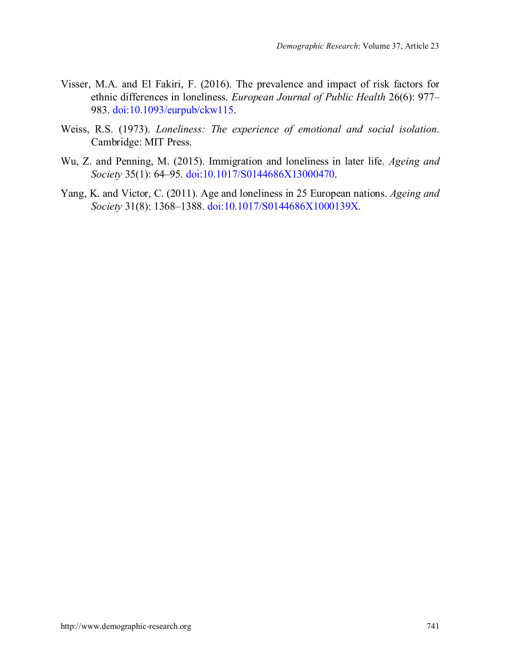- Visser, M.A. and El Fakiri, F. (2016). The prevalence and impact of risk factors for ethnic differences in loneliness. *European Journal of Public Health* 26(6): 977– 983. [doi:10.1093/eurpub/ckw115.](https://doi.org/10.1093/eurpub/ckw115)
- Weiss, R.S. (1973). *Loneliness: The experience of emotional and social isolation*. Cambridge: MIT Press.
- Wu, Z. and Penning, M. (2015). Immigration and loneliness in later life. *Ageing and Society* 35(1): 64–95. [doi:10.1017/S0144686X13000470.](https://doi.org/10.1017/S0144686X13000470)
- Yang, K. and Victor, C. (2011). Age and loneliness in 25 European nations. *Ageing and Society* 31(8): 1368–1388. [doi:10.1017/S0144686X1000139X.](https://doi.org/10.1017/S0144686X1000139X)